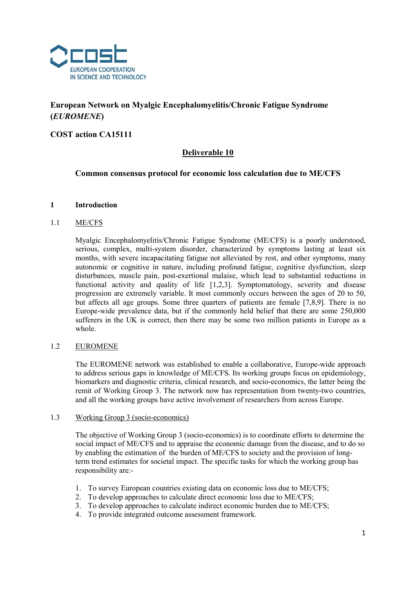

# European Network on Myalgic Encephalomyelitis/Chronic Fatigue Syndrome (EUROMENE)

# COST action CA15111

# Deliverable 10

## Common consensus protocol for economic loss calculation due to ME/CFS

## 1 Introduction

## 1.1 ME/CFS

Myalgic Encephalomyelitis/Chronic Fatigue Syndrome (ME/CFS) is a poorly understood, serious, complex, multi-system disorder, characterized by symptoms lasting at least six months, with severe incapacitating fatigue not alleviated by rest, and other symptoms, many autonomic or cognitive in nature, including profound fatigue, cognitive dysfunction, sleep disturbances, muscle pain, post-exertional malaise, which lead to substantial reductions in functional activity and quality of life [1,2,3]. Symptomatology, severity and disease progression are extremely variable. It most commonly occurs between the ages of 20 to 50, but affects all age groups. Some three quarters of patients are female [7,8,9]. There is no Europe-wide prevalence data, but if the commonly held belief that there are some 250,000 sufferers in the UK is correct, then there may be some two million patients in Europe as a whole.

## 1.2 EUROMENE

The EUROMENE network was established to enable a collaborative, Europe-wide approach to address serious gaps in knowledge of ME/CFS. Its working groups focus on epidemiology, biomarkers and diagnostic criteria, clinical research, and socio-economics, the latter being the remit of Working Group 3. The network now has representation from twenty-two countries, and all the working groups have active involvement of researchers from across Europe.

## 1.3 Working Group 3 (socio-economics)

The objective of Working Group 3 (socio-economics) is to coordinate efforts to determine the social impact of ME/CFS and to appraise the economic damage from the disease, and to do so by enabling the estimation of the burden of ME/CFS to society and the provision of longterm trend estimates for societal impact. The specific tasks for which the working group has responsibility are:-

- 1. To survey European countries existing data on economic loss due to ME/CFS;
- 2. To develop approaches to calculate direct economic loss due to ME/CFS;
- 3. To develop approaches to calculate indirect economic burden due to ME/CFS;
- 4. To provide integrated outcome assessment framework.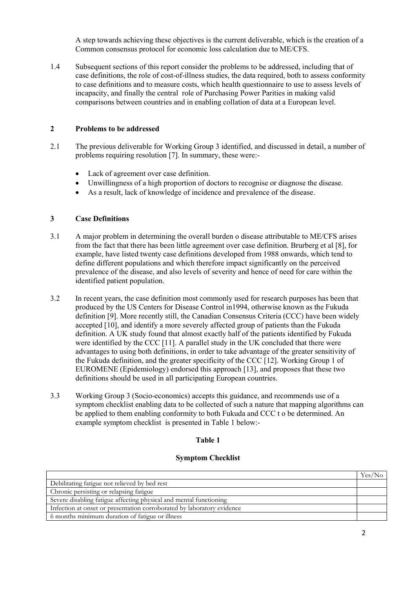A step towards achieving these objectives is the current deliverable, which is the creation of a Common consensus protocol for economic loss calculation due to ME/CFS.

1.4 Subsequent sections of this report consider the problems to be addressed, including that of case definitions, the role of cost-of-illness studies, the data required, both to assess conformity to case definitions and to measure costs, which health questionnaire to use to assess levels of incapacity, and finally the central role of Purchasing Power Parities in making valid comparisons between countries and in enabling collation of data at a European level.

## 2 Problems to be addressed

- 2.1 The previous deliverable for Working Group 3 identified, and discussed in detail, a number of problems requiring resolution [7]. In summary, these were:-
	- Lack of agreement over case definition.
	- Unwillingness of a high proportion of doctors to recognise or diagnose the disease.
	- As a result, lack of knowledge of incidence and prevalence of the disease.

## 3 Case Definitions

- 3.1 A major problem in determining the overall burden o disease attributable to ME/CFS arises from the fact that there has been little agreement over case definition. Brurberg et al [8], for example, have listed twenty case definitions developed from 1988 onwards, which tend to define different populations and which therefore impact significantly on the perceived prevalence of the disease, and also levels of severity and hence of need for care within the identified patient population.
- 3.2 In recent years, the case definition most commonly used for research purposes has been that produced by the US Centers for Disease Control in1994, otherwise known as the Fukuda definition [9]. More recently still, the Canadian Consensus Criteria (CCC) have been widely accepted [10], and identify a more severely affected group of patients than the Fukuda definition. A UK study found that almost exactly half of the patients identified by Fukuda were identified by the CCC [11]. A parallel study in the UK concluded that there were advantages to using both definitions, in order to take advantage of the greater sensitivity of the Fukuda definition, and the greater specificity of the CCC [12]. Working Group 1 of EUROMENE (Epidemiology) endorsed this approach [13], and proposes that these two definitions should be used in all participating European countries.
- 3.3 Working Group 3 (Socio-economics) accepts this guidance, and recommends use of a symptom checklist enabling data to be collected of such a nature that mapping algorithms can be applied to them enabling conformity to both Fukuda and CCC t o be determined. An example symptom checklist is presented in Table 1 below:-

## Table 1

## Symptom Checklist

|                                                                        | $Yes/$ . |
|------------------------------------------------------------------------|----------|
| Debilitating fatigue not relieved by bed rest                          |          |
| Chronic persisting or relapsing fatigue                                |          |
| Severe disabling fatigue affecting physical and mental functioning     |          |
| Infection at onset or presentation corroborated by laboratory evidence |          |
| 6 months minimum duration of fatigue or illness                        |          |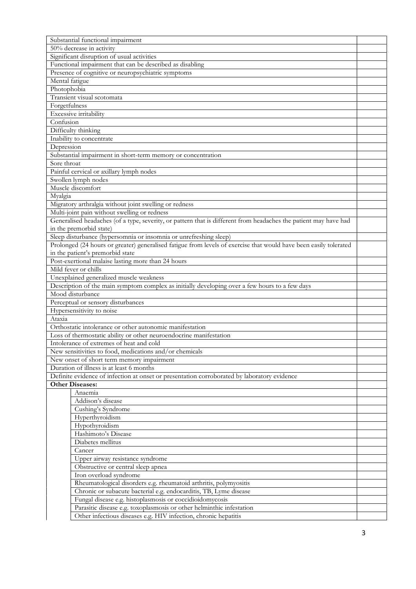| Substantial functional impairment                                                                                 |  |  |  |  |
|-------------------------------------------------------------------------------------------------------------------|--|--|--|--|
| 50% decrease in activity                                                                                          |  |  |  |  |
| Significant disruption of usual activities                                                                        |  |  |  |  |
| Functional impairment that can be described as disabling                                                          |  |  |  |  |
| Presence of cognitive or neuropsychiatric symptoms                                                                |  |  |  |  |
| Mental fatigue                                                                                                    |  |  |  |  |
| Photophobia                                                                                                       |  |  |  |  |
| Transient visual scotomata                                                                                        |  |  |  |  |
| Forgetfulness                                                                                                     |  |  |  |  |
| Excessive irritability                                                                                            |  |  |  |  |
| Confusion                                                                                                         |  |  |  |  |
| Difficulty thinking                                                                                               |  |  |  |  |
| Inability to concentrate                                                                                          |  |  |  |  |
| Depression                                                                                                        |  |  |  |  |
| Substantial impairment in short-term memory or concentration                                                      |  |  |  |  |
| Sore throat                                                                                                       |  |  |  |  |
| Painful cervical or axillary lymph nodes                                                                          |  |  |  |  |
| Swollen lymph nodes                                                                                               |  |  |  |  |
| Muscle discomfort                                                                                                 |  |  |  |  |
| Myalgia                                                                                                           |  |  |  |  |
|                                                                                                                   |  |  |  |  |
| Migratory arthralgia without joint swelling or redness                                                            |  |  |  |  |
| Multi-joint pain without swelling or redness                                                                      |  |  |  |  |
| Generalised headaches (of a type, severity, or pattern that is different from headaches the patient may have had  |  |  |  |  |
| in the premorbid state)                                                                                           |  |  |  |  |
| Sleep disturbance (hypersomnia or insomnia or unrefreshing sleep)                                                 |  |  |  |  |
| Prolonged (24 hours or greater) generalised fatigue from levels of exercise that would have been easily tolerated |  |  |  |  |
| in the patient's premorbid state                                                                                  |  |  |  |  |
| Post-exertional malaise lasting more than 24 hours                                                                |  |  |  |  |
| Mild fever or chills                                                                                              |  |  |  |  |
| Unexplained generalized muscle weakness                                                                           |  |  |  |  |
| Description of the main symptom complex as initially developing over a few hours to a few days                    |  |  |  |  |
| Mood disturbance                                                                                                  |  |  |  |  |
| Perceptual or sensory disturbances                                                                                |  |  |  |  |
| Hypersensitivity to noise                                                                                         |  |  |  |  |
| Ataxia                                                                                                            |  |  |  |  |
| Orthostatic intolerance or other autonomic manifestation                                                          |  |  |  |  |
| Loss of thermostatic ability or other neuroendocrine manifestation                                                |  |  |  |  |
| Intolerance of extremes of heat and cold                                                                          |  |  |  |  |
| New sensitivities to food, medications and/or chemicals                                                           |  |  |  |  |
| New onset of short term memory impairment                                                                         |  |  |  |  |
| Duration of illness is at least 6 months                                                                          |  |  |  |  |
| Definite evidence of infection at onset or presentation corroborated by laboratory evidence                       |  |  |  |  |
| <b>Other Diseases:</b>                                                                                            |  |  |  |  |
| Anaemia                                                                                                           |  |  |  |  |
| Addison's disease                                                                                                 |  |  |  |  |
| Cushing's Syndrome                                                                                                |  |  |  |  |
| Hyperthyroidism                                                                                                   |  |  |  |  |
| Hypothyroidism                                                                                                    |  |  |  |  |
| Hashimoto's Disease                                                                                               |  |  |  |  |
| Diabetes mellitus                                                                                                 |  |  |  |  |
| Cancer                                                                                                            |  |  |  |  |
| Upper airway resistance syndrome                                                                                  |  |  |  |  |
| Obstructive or central sleep apnea                                                                                |  |  |  |  |
| Iron overload syndrome                                                                                            |  |  |  |  |
| Rheumatological disorders e.g. rheumatoid arthritis, polymyositis                                                 |  |  |  |  |
| Chronic or subacute bacterial e.g. endocarditis, TB, Lyme disease                                                 |  |  |  |  |
| Fungal disease e.g. histoplasmosis or coccidioidomycosis                                                          |  |  |  |  |
| Parasitic disease e.g. toxoplasmosis or other helminthic infestation                                              |  |  |  |  |
| Other infectious diseases e.g. HIV infection, chronic hepatitis                                                   |  |  |  |  |
|                                                                                                                   |  |  |  |  |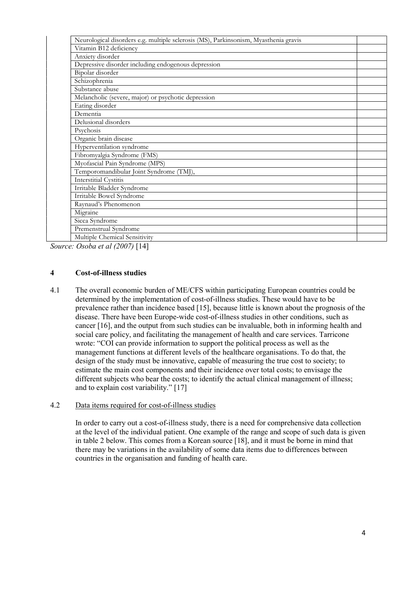| Neurological disorders e.g. multiple sclerosis (MS), Parkinsonism, Myasthenia gravis |  |
|--------------------------------------------------------------------------------------|--|
| Vitamin B12 deficiency                                                               |  |
| Anxiety disorder                                                                     |  |
| Depressive disorder including endogenous depression                                  |  |
| Bipolar disorder                                                                     |  |
| Schizophrenia                                                                        |  |
| Substance abuse                                                                      |  |
| Melancholic (severe, major) or psychotic depression                                  |  |
| Eating disorder                                                                      |  |
| Dementia                                                                             |  |
| Delusional disorders                                                                 |  |
| Psychosis                                                                            |  |
| Organic brain disease                                                                |  |
| Hyperventilation syndrome                                                            |  |
| Fibromyalgia Syndrome (FMS)                                                          |  |
| Myofascial Pain Syndrome (MPS)                                                       |  |
| Temporomandibular Joint Syndrome (TMJ),                                              |  |
| <b>Interstitial Cystitis</b>                                                         |  |
| Irritable Bladder Syndrome                                                           |  |
| Irritable Bowel Syndrome                                                             |  |
| Raynaud's Phenomenon                                                                 |  |
| Migraine                                                                             |  |
| Sicca Syndrome                                                                       |  |
| Premenstrual Syndrome                                                                |  |
| Multiple Chemical Sensitivity                                                        |  |

Source: Osoba et al (2007) [14]

## 4 Cost-of-illness studies

4.1 The overall economic burden of ME/CFS within participating European countries could be determined by the implementation of cost-of-illness studies. These would have to be prevalence rather than incidence based [15], because little is known about the prognosis of the disease. There have been Europe-wide cost-of-illness studies in other conditions, such as cancer [16], and the output from such studies can be invaluable, both in informing health and social care policy, and facilitating the management of health and care services. Tarricone wrote: "COI can provide information to support the political process as well as the management functions at different levels of the healthcare organisations. To do that, the design of the study must be innovative, capable of measuring the true cost to society; to estimate the main cost components and their incidence over total costs; to envisage the different subjects who bear the costs; to identify the actual clinical management of illness; and to explain cost variability." [17]

## 4.2 Data items required for cost-of-illness studies

In order to carry out a cost-of-illness study, there is a need for comprehensive data collection at the level of the individual patient. One example of the range and scope of such data is given in table 2 below. This comes from a Korean source [18], and it must be borne in mind that there may be variations in the availability of some data items due to differences between countries in the organisation and funding of health care.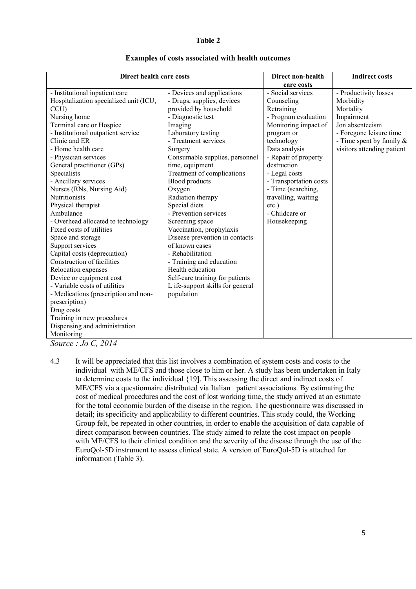#### Table 2

|                                                       |                                  |                                 | <b>Indirect costs</b>      |
|-------------------------------------------------------|----------------------------------|---------------------------------|----------------------------|
| Direct health care costs                              |                                  | Direct non-health<br>care costs |                            |
| - Institutional inpatient care                        | - Devices and applications       | - Social services               | - Productivity losses      |
| Hospitalization specialized unit (ICU,                |                                  | Counseling                      | Morbidity                  |
|                                                       | - Drugs, supplies, devices       |                                 |                            |
| CCU)                                                  | provided by household            | Retraining                      | Mortality                  |
| - Diagnostic test<br>Nursing home                     |                                  | - Program evaluation            | Impairment                 |
| Terminal care or Hospice<br>Imaging                   |                                  | Monitoring impact of            | Jon absenteeism            |
| - Institutional outpatient service                    | Laboratory testing               | program or                      | - Foregone leisure time    |
| Clinic and ER                                         | - Treatment services             | technology                      | - Time spent by family &   |
| - Home health care<br>Surgery                         |                                  | Data analysis                   | visitors attending patient |
| - Physician services                                  | Consumable supplies, personnel   | - Repair of property            |                            |
| General practitioner (GPs)<br>time, equipment         |                                  | destruction                     |                            |
| Specialists                                           | Treatment of complications       | - Legal costs                   |                            |
| - Ancillary services<br><b>Blood products</b>         |                                  | - Transportation costs          |                            |
| Nurses (RNs, Nursing Aid)<br>Oxygen                   |                                  | - Time (searching,              |                            |
| <b>Nutritionists</b>                                  | Radiation therapy                | travelling, waiting             |                            |
| Special diets<br>Physical therapist                   |                                  | $etc.$ )                        |                            |
| Ambulance                                             | - Prevention services            | - Childcare or                  |                            |
| - Overhead allocated to technology<br>Screening space |                                  | Housekeeping                    |                            |
| Fixed costs of utilities                              | Vaccination, prophylaxis         |                                 |                            |
| Space and storage                                     | Disease prevention in contacts   |                                 |                            |
| of known cases<br>Support services                    |                                  |                                 |                            |
| Capital costs (depreciation)<br>- Rehabilitation      |                                  |                                 |                            |
| Construction of facilities                            | - Training and education         |                                 |                            |
| Relocation expenses<br>Health education               |                                  |                                 |                            |
| Device or equipment cost                              | Self-care training for patients  |                                 |                            |
| - Variable costs of utilities                         | L ife-support skills for general |                                 |                            |
| population<br>- Medications (prescription and non-    |                                  |                                 |                            |
| prescription)                                         |                                  |                                 |                            |
| Drug costs                                            |                                  |                                 |                            |
| Training in new procedures                            |                                  |                                 |                            |
| Dispensing and administration                         |                                  |                                 |                            |
| Monitoring                                            |                                  |                                 |                            |

#### Examples of costs associated with health outcomes

Source : Jo C, 2014

4.3 It will be appreciated that this list involves a combination of system costs and costs to the individual with ME/CFS and those close to him or her. A study has been undertaken in Italy to determine costs to the individual {19]. This assessing the direct and indirect costs of ME/CFS via a questionnaire distributed via Italian patient associations. By estimating the cost of medical procedures and the cost of lost working time, the study arrived at an estimate for the total economic burden of the disease in the region. The questionnaire was discussed in detail; its specificity and applicability to different countries. This study could, the Working Group felt, be repeated in other countries, in order to enable the acquisition of data capable of direct comparison between countries. The study aimed to relate the cost impact on people with ME/CFS to their clinical condition and the severity of the disease through the use of the EuroQol-5D instrument to assess clinical state. A version of EuroQol-5D is attached for information (Table 3).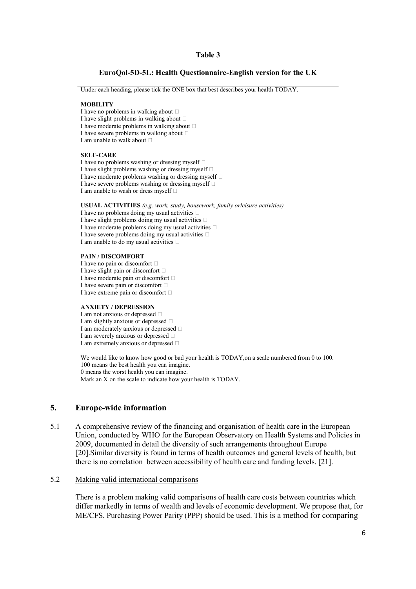## Table 3

## EuroQol-5D-5L: Health Questionnaire-English version for the UK

Under each heading, please tick the ONE box that best describes your health TODAY. **MOBILITY** I have no problems in walking about  $\square$ I have slight problems in walking about  $\square$ I have moderate problems in walking about  $\Box$ I have severe problems in walking about  $\square$ I am unable to walk about SELF-CARE I have no problems washing or dressing myself  $\square$ I have slight problems washing or dressing myself  $\Box$ I have moderate problems washing or dressing myself  $\Box$ I have severe problems washing or dressing myself  $\Box$ I am unable to wash or dress myself  $\Box$ USUAL ACTIVITIES (e.g. work, study, housework, family orleisure activities) I have no problems doing my usual activities  $\square$ I have slight problems doing my usual activities  $\Box$ I have moderate problems doing my usual activities  $\Box$ I have severe problems doing my usual activities  $\square$ I am unable to do my usual activities  $\Box$ PAIN / DISCOMFORT I have no pain or discomfort  $\Box$ I have slight pain or discomfort I have moderate pain or discomfort I have severe pain or discomfort I have extreme pain or discomfort ANXIETY / DEPRESSION I am not anxious or depressed  $\Box$ I am slightly anxious or depressed I am moderately anxious or depressed  $\Box$ I am severely anxious or depressed  $\Box$ I am extremely anxious or depressed  $\Box$ We would like to know how good or bad your health is TODAY, on a scale numbered from 0 to 100. 100 means the best health you can imagine. 0 means the worst health you can imagine. Mark an X on the scale to indicate how your health is TODAY.

## 5. Europe-wide information

5.1 A comprehensive review of the financing and organisation of health care in the European Union, conducted by WHO for the European Observatory on Health Systems and Policies in 2009, documented in detail the diversity of such arrangements throughout Europe [20].Similar diversity is found in terms of health outcomes and general levels of health, but there is no correlation between accessibility of health care and funding levels. [21].

#### 5.2 Making valid international comparisons

There is a problem making valid comparisons of health care costs between countries which differ markedly in terms of wealth and levels of economic development. We propose that, for ME/CFS, Purchasing Power Parity (PPP) should be used. This is a method for comparing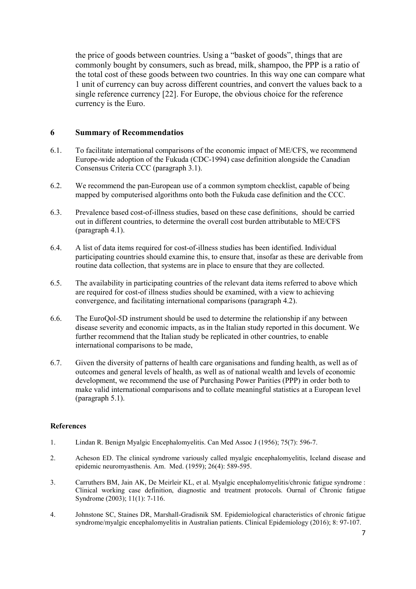the price of goods between countries. Using a "basket of goods", things that are commonly bought by consumers, such as bread, milk, shampoo, the PPP is a ratio of the total cost of these goods between two countries. In this way one can compare what 1 unit of currency can buy across different countries, and convert the values back to a single reference currency [22]. For Europe, the obvious choice for the reference currency is the Euro.

## 6 Summary of Recommendatios

- 6.1. To facilitate international comparisons of the economic impact of ME/CFS, we recommend Europe-wide adoption of the Fukuda (CDC-1994) case definition alongside the Canadian Consensus Criteria CCC (paragraph 3.1).
- 6.2. We recommend the pan-European use of a common symptom checklist, capable of being mapped by computerised algorithms onto both the Fukuda case definition and the CCC.
- 6.3. Prevalence based cost-of-illness studies, based on these case definitions, should be carried out in different countries, to determine the overall cost burden attributable to ME/CFS (paragraph 4.1).
- 6.4. A list of data items required for cost-of-illness studies has been identified. Individual participating countries should examine this, to ensure that, insofar as these are derivable from routine data collection, that systems are in place to ensure that they are collected.
- 6.5. The availability in participating countries of the relevant data items referred to above which are required for cost-of illness studies should be examined, with a view to achieving convergence, and facilitating international comparisons (paragraph 4.2).
- 6.6. The EuroQol-5D instrument should be used to determine the relationship if any between disease severity and economic impacts, as in the Italian study reported in this document. We further recommend that the Italian study be replicated in other countries, to enable international comparisons to be made,
- 6.7. Given the diversity of patterns of health care organisations and funding health, as well as of outcomes and general levels of health, as well as of national wealth and levels of economic development, we recommend the use of Purchasing Power Parities (PPP) in order both to make valid international comparisons and to collate meaningful statistics at a European level (paragraph 5.1).

## **References**

- 1. Lindan R. Benign Myalgic Encephalomyelitis. Can Med Assoc J (1956); 75(7): 596-7.
- 2. Acheson ED. The clinical syndrome variously called myalgic encephalomyelitis, Iceland disease and epidemic neuromyasthenis. Am. Med. (1959); 26(4): 589-595.
- 3. Carruthers BM, Jain AK, De Meirleir KL, et al. Myalgic encephalomyelitis/chronic fatigue syndrome : Clinical working case definition, diagnostic and treatment protocols. Ournal of Chronic fatigue Syndrome (2003); 11(1): 7-116.
- 4. Johnstone SC, Staines DR, Marshall-Gradisnik SM. Epidemiological characteristics of chronic fatigue syndrome/myalgic encephalomyelitis in Australian patients. Clinical Epidemiology (2016); 8: 97-107.